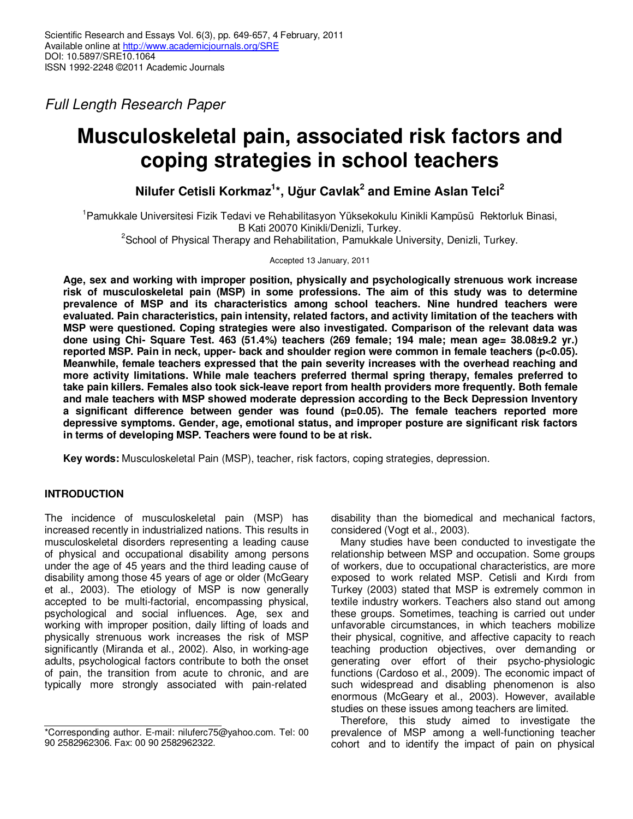Full Length Research Paper

# **Musculoskeletal pain, associated risk factors and coping strategies in school teachers**

**Nilufer Cetisli Korkmaz<sup>1</sup> \*, Uğur Cavlak<sup>2</sup> and Emine Aslan Telci<sup>2</sup>**

<sup>1</sup>Pamukkale Universitesi Fizik Tedavi ve Rehabilitasyon Yüksekokulu Kinikli Kampüsü Rektorluk Binasi, B Kati 20070 Kinikli/Denizli, Turkey.

<sup>2</sup>School of Physical Therapy and Rehabilitation, Pamukkale University, Denizli, Turkey.

Accepted 13 January, 2011

**Age, sex and working with improper position, physically and psychologically strenuous work increase risk of musculoskeletal pain (MSP) in some professions. The aim of this study was to determine prevalence of MSP and its characteristics among school teachers. Nine hundred teachers were evaluated. Pain characteristics, pain intensity, related factors, and activity limitation of the teachers with MSP were questioned. Coping strategies were also investigated. Comparison of the relevant data was done using Chi- Square Test. 463 (51.4%) teachers (269 female; 194 male; mean age= 38.08±9.2 yr.) reported MSP. Pain in neck, upper- back and shoulder region were common in female teachers (p<0.05). Meanwhile, female teachers expressed that the pain severity increases with the overhead reaching and more activity limitations. While male teachers preferred thermal spring therapy, females preferred to take pain killers. Females also took sick-leave report from health providers more frequently. Both female and male teachers with MSP showed moderate depression according to the Beck Depression Inventory a significant difference between gender was found (p=0.05). The female teachers reported more depressive symptoms. Gender, age, emotional status, and improper posture are significant risk factors in terms of developing MSP. Teachers were found to be at risk.** 

**Key words:** Musculoskeletal Pain (MSP), teacher, risk factors, coping strategies, depression.

# **INTRODUCTION**

The incidence of musculoskeletal pain (MSP) has increased recently in industrialized nations. This results in musculoskeletal disorders representing a leading cause of physical and occupational disability among persons under the age of 45 years and the third leading cause of disability among those 45 years of age or older (McGeary et al., 2003). The etiology of MSP is now generally accepted to be multi-factorial, encompassing physical, psychological and social influences. Age, sex and working with improper position, daily lifting of loads and physically strenuous work increases the risk of MSP significantly (Miranda et al., 2002). Also, in working-age adults, psychological factors contribute to both the onset of pain, the transition from acute to chronic, and are typically more strongly associated with pain-related

disability than the biomedical and mechanical factors, considered (Vogt et al., 2003).

Many studies have been conducted to investigate the relationship between MSP and occupation. Some groups of workers, due to occupational characteristics, are more exposed to work related MSP. Cetisli and Kırdı from Turkey (2003) stated that MSP is extremely common in textile industry workers. Teachers also stand out among these groups. Sometimes, teaching is carried out under unfavorable circumstances, in which teachers mobilize their physical, cognitive, and affective capacity to reach teaching production objectives, over demanding or generating over effort of their psycho-physiologic functions (Cardoso et al., 2009). The economic impact of such widespread and disabling phenomenon is also enormous (McGeary et al., 2003). However, available studies on these issues among teachers are limited.

Therefore, this study aimed to investigate the prevalence of MSP among a well-functioning teacher cohort and to identify the impact of pain on physical

<sup>\*</sup>Corresponding author. E-mail: niluferc75@yahoo.com. Tel: 00 90 2582962306. Fax: 00 90 2582962322.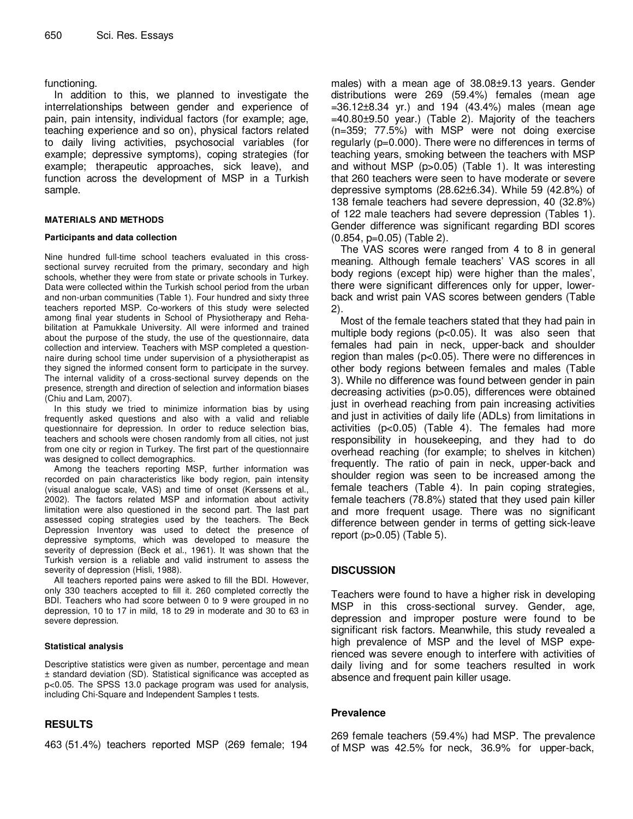#### functioning.

In addition to this, we planned to investigate the interrelationships between gender and experience of pain, pain intensity, individual factors (for example; age, teaching experience and so on), physical factors related to daily living activities, psychosocial variables (for example; depressive symptoms), coping strategies (for example; therapeutic approaches, sick leave), and function across the development of MSP in a Turkish sample.

#### **MATERIALS AND METHODS**

#### **Participants and data collection**

Nine hundred full-time school teachers evaluated in this crosssectional survey recruited from the primary, secondary and high schools, whether they were from state or private schools in Turkey. Data were collected within the Turkish school period from the urban and non-urban communities (Table 1). Four hundred and sixty three teachers reported MSP. Co-workers of this study were selected among final year students in School of Physiotherapy and Rehabilitation at Pamukkale University. All were informed and trained about the purpose of the study, the use of the questionnaire, data collection and interview. Teachers with MSP completed a questionnaire during school time under supervision of a physiotherapist as they signed the informed consent form to participate in the survey. The internal validity of a cross-sectional survey depends on the presence, strength and direction of selection and information biases (Chiu and Lam, 2007).

In this study we tried to minimize information bias by using frequently asked questions and also with a valid and reliable questionnaire for depression. In order to reduce selection bias, teachers and schools were chosen randomly from all cities, not just from one city or region in Turkey. The first part of the questionnaire was designed to collect demographics.

Among the teachers reporting MSP, further information was recorded on pain characteristics like body region, pain intensity (visual analogue scale, VAS) and time of onset (Kerssens et al., 2002). The factors related MSP and information about activity limitation were also questioned in the second part. The last part assessed coping strategies used by the teachers. The Beck Depression Inventory was used to detect the presence of depressive symptoms, which was developed to measure the severity of depression (Beck et al., 1961). It was shown that the Turkish version is a reliable and valid instrument to assess the severity of depression (Hisli, 1988).

All teachers reported pains were asked to fill the BDI. However, only 330 teachers accepted to fill it. 260 completed correctly the BDI. Teachers who had score between 0 to 9 were grouped in no depression, 10 to 17 in mild, 18 to 29 in moderate and 30 to 63 in severe depression.

#### **Statistical analysis**

Descriptive statistics were given as number, percentage and mean ± standard deviation (SD). Statistical significance was accepted as p<0.05. The SPSS 13.0 package program was used for analysis, including Chi-Square and Independent Samples t tests.

# **RESULTS**

463 (51.4%) teachers reported MSP (269 female; 194

males) with a mean age of 38.08±9.13 years. Gender distributions were 269 (59.4%) females (mean age =36.12±8.34 yr.) and 194 (43.4%) males (mean age =40.80±9.50 year.) (Table 2). Majority of the teachers (n=359; 77.5%) with MSP were not doing exercise regularly (p=0.000). There were no differences in terms of teaching years, smoking between the teachers with MSP and without MSP (p>0.05) (Table 1). It was interesting that 260 teachers were seen to have moderate or severe depressive symptoms (28.62±6.34). While 59 (42.8%) of 138 female teachers had severe depression, 40 (32.8%) of 122 male teachers had severe depression (Tables 1). Gender difference was significant regarding BDI scores (0.854, p=0.05) (Table 2).

The VAS scores were ranged from 4 to 8 in general meaning. Although female teachers' VAS scores in all body regions (except hip) were higher than the males', there were significant differences only for upper, lowerback and wrist pain VAS scores between genders (Table 2).

Most of the female teachers stated that they had pain in multiple body regions (p<0.05). It was also seen that females had pain in neck, upper-back and shoulder region than males (p<0.05). There were no differences in other body regions between females and males (Table 3). While no difference was found between gender in pain decreasing activities (p>0.05), differences were obtained just in overhead reaching from pain increasing activities and just in activities of daily life (ADLs) from limitations in activities (p<0.05) (Table 4). The females had more responsibility in housekeeping, and they had to do overhead reaching (for example; to shelves in kitchen) frequently. The ratio of pain in neck, upper-back and shoulder region was seen to be increased among the female teachers (Table 4). In pain coping strategies, female teachers (78.8%) stated that they used pain killer and more frequent usage. There was no significant difference between gender in terms of getting sick-leave report (p>0.05) (Table 5).

#### **DISCUSSION**

Teachers were found to have a higher risk in developing MSP in this cross-sectional survey. Gender, age, depression and improper posture were found to be significant risk factors. Meanwhile, this study revealed a high prevalence of MSP and the level of MSP experienced was severe enough to interfere with activities of daily living and for some teachers resulted in work absence and frequent pain killer usage.

#### **Prevalence**

269 female teachers (59.4%) had MSP. The prevalence of MSP was 42.5% for neck, 36.9% for upper-back,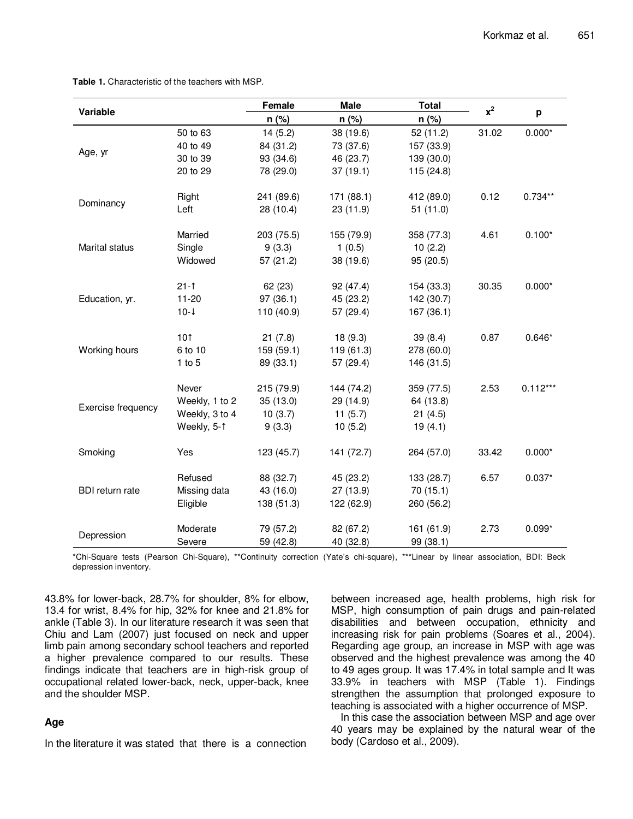| <b>Variable</b>        |                | Female<br><b>Male</b> |            | <b>Total</b> | $x^2$ |            |
|------------------------|----------------|-----------------------|------------|--------------|-------|------------|
|                        |                | $n$ (%)               | $n$ (%)    |              |       | p          |
|                        | 50 to 63       | 14(5.2)               | 38 (19.6)  | 52(11.2)     | 31.02 | $0.000*$   |
|                        | 40 to 49       | 84 (31.2)             | 73 (37.6)  | 157 (33.9)   |       |            |
| Age, yr                | 30 to 39       | 93 (34.6)             | 46 (23.7)  | 139 (30.0)   |       |            |
|                        | 20 to 29       | 78 (29.0)             | 37(19.1)   | 115 (24.8)   |       |            |
|                        | Right          | 241 (89.6)            | 171 (88.1) | 412 (89.0)   | 0.12  | $0.734**$  |
| Dominancy              | Left           | 28 (10.4)             | 23 (11.9)  | 51(11.0)     |       |            |
|                        | Married        | 203 (75.5)            | 155 (79.9) | 358 (77.3)   | 4.61  | $0.100*$   |
| Marital status         | Single         | 9(3.3)                | 1(0.5)     | 10(2.2)      |       |            |
|                        | Widowed        | 57(21.2)              | 38 (19.6)  | 95 (20.5)    |       |            |
|                        | $21 - 1$       | 62 (23)               | 92 (47.4)  | 154 (33.3)   | 30.35 | $0.000*$   |
| Education, yr.         | $11 - 20$      | 97(36.1)              | 45 (23.2)  | 142 (30.7)   |       |            |
|                        | $10 - 1$       | 110 (40.9)            | 57 (29.4)  | 167 (36.1)   |       |            |
|                        | 101            | 21(7.8)               | 18(9.3)    | 39(8.4)      | 0.87  | $0.646*$   |
| Working hours          | 6 to 10        | 159 (59.1)            | 119 (61.3) | 278 (60.0)   |       |            |
|                        | $1$ to $5$     | 89 (33.1)             | 57 (29.4)  | 146 (31.5)   |       |            |
| Exercise frequency     | Never          | 215 (79.9)            | 144 (74.2) | 359 (77.5)   | 2.53  | $0.112***$ |
|                        | Weekly, 1 to 2 | 35(13.0)              | 29 (14.9)  | 64 (13.8)    |       |            |
|                        | Weekly, 3 to 4 | 10(3.7)               | 11(5.7)    | 21(4.5)      |       |            |
|                        | Weekly, 5-1    | 9(3.3)                | 10(5.2)    | 19(4.1)      |       |            |
| Smoking                | Yes            | 123 (45.7)            | 141 (72.7) | 264 (57.0)   | 33.42 | $0.000*$   |
| <b>BDI</b> return rate | Refused        | 88 (32.7)             | 45 (23.2)  | 133 (28.7)   | 6.57  | $0.037*$   |
|                        | Missing data   | 43 (16.0)             | 27 (13.9)  | 70(15.1)     |       |            |
|                        | Eligible       | 138 (51.3)            | 122 (62.9) | 260 (56.2)   |       |            |
| Depression             | Moderate       | 79 (57.2)             | 82 (67.2)  | 161 (61.9)   | 2.73  | $0.099*$   |
|                        | Severe         | 59 (42.8)             | 40 (32.8)  | 99 (38.1)    |       |            |

**Table 1.** Characteristic of the teachers with MSP.

\*Chi-Square tests (Pearson Chi-Square), \*\*Continuity correction (Yate's chi-square), \*\*\*Linear by linear association, BDI: Beck depression inventory.

43.8% for lower-back, 28.7% for shoulder, 8% for elbow, 13.4 for wrist, 8.4% for hip, 32% for knee and 21.8% for ankle (Table 3). In our literature research it was seen that Chiu and Lam (2007) just focused on neck and upper limb pain among secondary school teachers and reported a higher prevalence compared to our results. These findings indicate that teachers are in high-risk group of occupational related lower-back, neck, upper-back, knee and the shoulder MSP.

#### **Age**

In the literature it was stated that there is a connection

between increased age, health problems, high risk for MSP, high consumption of pain drugs and pain-related disabilities and between occupation, ethnicity and increasing risk for pain problems (Soares et al., 2004). Regarding age group, an increase in MSP with age was observed and the highest prevalence was among the 40 to 49 ages group. It was 17.4% in total sample and It was 33.9% in teachers with MSP (Table 1). Findings strengthen the assumption that prolonged exposure to teaching is associated with a higher occurrence of MSP.

In this case the association between MSP and age over 40 years may be explained by the natural wear of the body (Cardoso et al., 2009).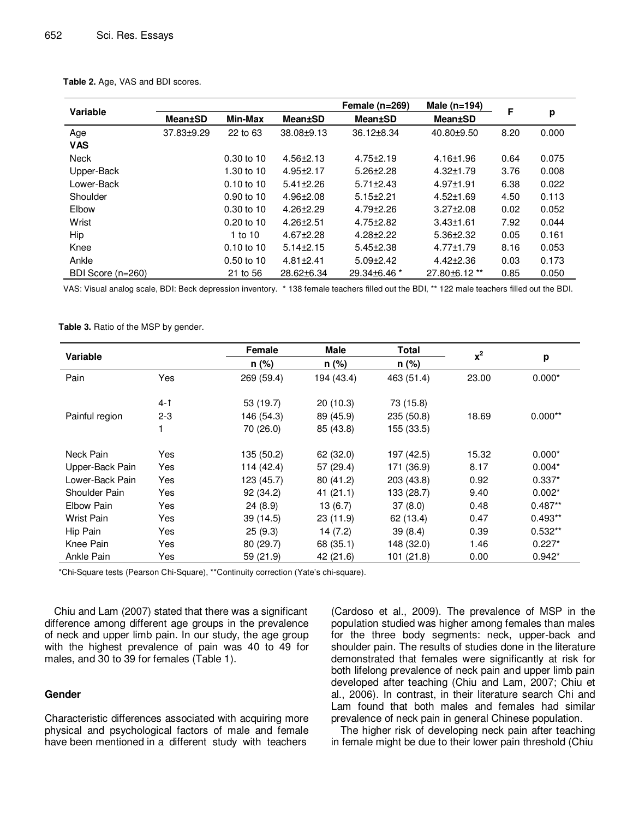| Variable          |                | Min-Max<br><b>Mean</b> ±SD |                 | Female $(n=269)$ | Male $(n=194)$<br>F |      |       |
|-------------------|----------------|----------------------------|-----------------|------------------|---------------------|------|-------|
|                   | <b>Mean±SD</b> |                            |                 | <b>Mean±SD</b>   | <b>Mean±SD</b>      |      | р     |
| Age               | 37.83±9.29     | 22 to 63                   | 38.08+9.13      | $36.12 + 8.34$   | $40.80 + 9.50$      | 8.20 | 0.000 |
| <b>VAS</b>        |                |                            |                 |                  |                     |      |       |
| <b>Neck</b>       |                | 0.30 to 10                 | $4.56 \pm 2.13$ | $4.75 \pm 2.19$  | $4.16 \pm 1.96$     | 0.64 | 0.075 |
| Upper-Back        |                | 1.30 to 10                 | $4.95 \pm 2.17$ | $5.26 + 2.28$    | $4.32 \pm 1.79$     | 3.76 | 0.008 |
| Lower-Back        |                | $0.10$ to 10               | $5.41 \pm 2.26$ | $5.71 \pm 2.43$  | $4.97 \pm 1.91$     | 6.38 | 0.022 |
| Shoulder          |                | 0.90 to 10                 | $4.96 \pm 2.08$ | $5.15 \pm 2.21$  | $4.52 \pm 1.69$     | 4.50 | 0.113 |
| Elbow             |                | 0.30 to 10                 | $4.26 + 2.29$   | $4.79 \pm 2.26$  | $3.27 + 2.08$       | 0.02 | 0.052 |
| Wrist             |                | $0.20$ to 10               | $4.26 \pm 2.51$ | $4.75 + 2.82$    | $3.43 \pm 1.61$     | 7.92 | 0.044 |
| Hip               |                | 1 to $10$                  | $4.67 + 2.28$   | $4.28 + 2.22$    | $5.36 \pm 2.32$     | 0.05 | 0.161 |
| Knee              |                | $0.10$ to 10               | $5.14 \pm 2.15$ | $5.45 \pm 2.38$  | $4.77 \pm 1.79$     | 8.16 | 0.053 |
| Ankle             |                | $0.50$ to 10               | $4.81 \pm 2.41$ | $5.09 \pm 2.42$  | $4.42 + 2.36$       | 0.03 | 0.173 |
| BDI Score (n=260) |                | 21 to 56                   | 28.62±6.34      | 29.34±6.46 *     | 27.80±6.12 **       | 0.85 | 0.050 |

**Table 2.** Age, VAS and BDI scores.

VAS: Visual analog scale, BDI: Beck depression inventory. \* 138 female teachers filled out the BDI, \*\* 122 male teachers filled out the BDI.

#### **Table 3.** Ratio of the MSP by gender.

| Variable        |            | Female     | Male       |            | $x^2$ |           |
|-----------------|------------|------------|------------|------------|-------|-----------|
|                 |            | n (%)      | n (%)      | $n$ (%)    |       | p         |
| Pain            | Yes        | 269 (59.4) | 194 (43.4) | 463 (51.4) | 23.00 | $0.000*$  |
|                 | 4-1        | 53 (19.7)  | 20(10.3)   | 73 (15.8)  |       |           |
| Painful region  | $2 - 3$    | 146 (54.3) | 89 (45.9)  | 235(50.8)  | 18.69 | $0.000**$ |
|                 | 1          | 70 (26.0)  | 85 (43.8)  | 155 (33.5) |       |           |
| Neck Pain       | <b>Yes</b> | 135 (50.2) | 62 (32.0)  | 197 (42.5) | 15.32 | $0.000*$  |
| Upper-Back Pain | Yes        | 114 (42.4) | 57 (29.4)  | 171 (36.9) | 8.17  | $0.004*$  |
| Lower-Back Pain | <b>Yes</b> | 123 (45.7) | 80 (41.2)  | 203 (43.8) | 0.92  | $0.337*$  |
| Shoulder Pain   | Yes        | 92 (34.2)  | 41(21.1)   | 133 (28.7) | 9.40  | $0.002*$  |
| Elbow Pain      | Yes        | 24(8.9)    | 13(6.7)    | 37(8.0)    | 0.48  | $0.487**$ |
| Wrist Pain      | Yes        | 39(14.5)   | 23(11.9)   | 62 (13.4)  | 0.47  | $0.493**$ |
| Hip Pain        | Yes        | 25(9.3)    | 14(7.2)    | 39(8.4)    | 0.39  | $0.532**$ |
| Knee Pain       | Yes        | 80 (29.7)  | 68 (35.1)  | 148 (32.0) | 1.46  | $0.227*$  |
| Ankle Pain      | Yes        | 59 (21.9)  | 42(21.6)   | 101(21.8)  | 0.00  | $0.942*$  |

\*Chi-Square tests (Pearson Chi-Square), \*\*Continuity correction (Yate's chi-square).

Chiu and Lam (2007) stated that there was a significant difference among different age groups in the prevalence of neck and upper limb pain. In our study, the age group with the highest prevalence of pain was 40 to 49 for males, and 30 to 39 for females (Table 1).

# **Gender**

Characteristic differences associated with acquiring more physical and psychological factors of male and female have been mentioned in a different study with teachers

(Cardoso et al., 2009). The prevalence of MSP in the population studied was higher among females than males for the three body segments: neck, upper-back and shoulder pain. The results of studies done in the literature demonstrated that females were significantly at risk for both lifelong prevalence of neck pain and upper limb pain developed after teaching (Chiu and Lam, 2007; Chiu et al., 2006). In contrast, in their literature search Chi and Lam found that both males and females had similar prevalence of neck pain in general Chinese population.

The higher risk of developing neck pain after teaching in female might be due to their lower pain threshold (Chiu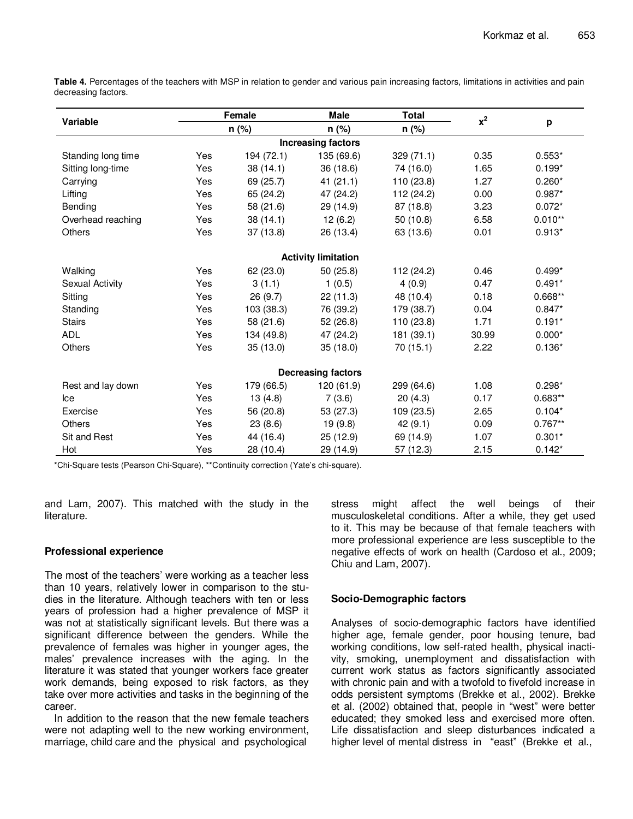**Variable Female Male Total x 2 p n (%) n (%) n (%) Increasing factors**  Standing long time Yes 194 (72.1) 135 (69.6) 329 (71.1) 0.35 0.553\* Sitting long-time Yes 38 (14.1) 36 (18.6) 74 (16.0) 1.65 0.199\* Carrying Yes 69 (25.7) 41 (21.1) 110 (23.8) 1.27 0.260\* Lifting Yes 65 (24.2) 47 (24.2) 112 (24.2) 0.00 0.987\* Bending Yes 58 (21.6) 29 (14.9) 87 (18.8) 3.23 0.072\* Overhead reaching Yes 38 (14.1) 12 (6.2) 50 (10.8) 6.58 0.010<sup>\*\*</sup> Others Yes 37 (13.8) 26 (13.4) 63 (13.6) 0.01 0.913\* **Activity limitation**  Walking Yes 62 (23.0) 50 (25.8) 112 (24.2) 0.46 0.499\* Sexual Activity Yes 3 (1.1) 1 (0.5) 4 (0.9) 0.47 0.491\* Sitting Yes 26 (9.7) 22 (11.3) 48 (10.4) 0.18 0.668\*\* Standing Yes 103 (38.3) 76 (39.2) 179 (38.7) 0.04 0.847\* Stairs Yes 58 (21.6) 52 (26.8) 110 (23.8) 1.71 0.191\* ADL Yes 134 (49.8) 47 (24.2) 181 (39.1) 30.99 0.000\* Others Yes 35 (13.0) 35 (18.0) 70 (15.1) 2.22 0.136\* **Decreasing factors**  Rest and lay down Yes 179 (66.5) 120 (61.9) 299 (64.6) 1.08 0.298\* lce Yes 13 (4.8) 7 (3.6) 20 (4.3) 0.17 0.683\*\* Exercise Yes 56 (20.8) 53 (27.3) 109 (23.5) 2.65 0.104\* Others Yes 23 (8.6) 19 (9.8) 42 (9.1) 0.09 0.767\*\* Sit and Rest Yes 44 (16.4) 25 (12.9) 69 (14.9) 1.07 0.301\* Hot Yes 28 (10.4) 29 (14.9) 57 (12.3) 2.15 0.142\*

**Table 4.** Percentages of the teachers with MSP in relation to gender and various pain increasing factors, limitations in activities and pain decreasing factors.

\*Chi-Square tests (Pearson Chi-Square), \*\*Continuity correction (Yate's chi-square).

and Lam, 2007). This matched with the study in the literature.

#### **Professional experience**

The most of the teachers' were working as a teacher less than 10 years, relatively lower in comparison to the studies in the literature. Although teachers with ten or less years of profession had a higher prevalence of MSP it was not at statistically significant levels. But there was a significant difference between the genders. While the prevalence of females was higher in younger ages, the males' prevalence increases with the aging. In the literature it was stated that younger workers face greater work demands, being exposed to risk factors, as they take over more activities and tasks in the beginning of the career.

In addition to the reason that the new female teachers were not adapting well to the new working environment, marriage, child care and the physical and psychological

stress might affect the well beings of their musculoskeletal conditions. After a while, they get used to it. This may be because of that female teachers with more professional experience are less susceptible to the negative effects of work on health (Cardoso et al., 2009; Chiu and Lam, 2007).

#### **Socio-Demographic factors**

Analyses of socio-demographic factors have identified higher age, female gender, poor housing tenure, bad working conditions, low self-rated health, physical inactivity, smoking, unemployment and dissatisfaction with current work status as factors significantly associated with chronic pain and with a twofold to fivefold increase in odds persistent symptoms (Brekke et al., 2002). Brekke et al. (2002) obtained that, people in "west" were better educated; they smoked less and exercised more often. Life dissatisfaction and sleep disturbances indicated a higher level of mental distress in "east" (Brekke et al.,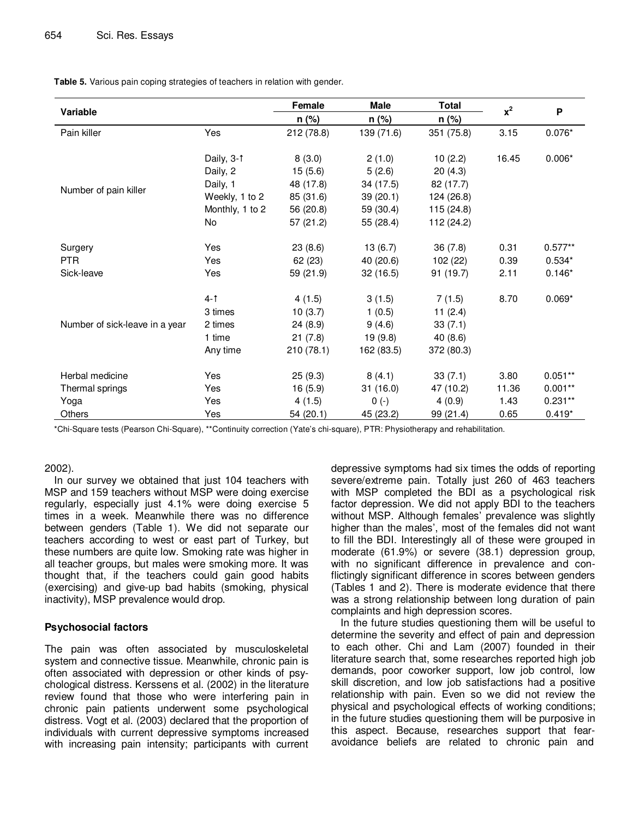**Table 5.** Various pain coping strategies of teachers in relation with gender.

| Variable                       |                 | <b>Male</b><br>Female |            | <b>Total</b> | $x^2$ |           |
|--------------------------------|-----------------|-----------------------|------------|--------------|-------|-----------|
|                                |                 | $n$ (%)               | $n$ (%)    | n (%)        |       | P         |
| Pain killer                    | Yes             | 212 (78.8)            | 139 (71.6) | 351 (75.8)   | 3.15  | $0.076*$  |
|                                |                 |                       |            |              |       |           |
|                                | Daily, 3-1      | 8(3.0)                | 2(1.0)     | 10(2.2)      | 16.45 | $0.006*$  |
|                                | Daily, 2        | 15(5.6)               | 5(2.6)     | 20(4.3)      |       |           |
| Number of pain killer          | Daily, 1        | 48 (17.8)             | 34 (17.5)  | 82 (17.7)    |       |           |
|                                | Weekly, 1 to 2  | 85 (31.6)             | 39(20.1)   | 124 (26.8)   |       |           |
|                                | Monthly, 1 to 2 | 56 (20.8)             | 59 (30.4)  | 115(24.8)    |       |           |
|                                | No              | 57(21.2)              | 55 (28.4)  | 112 (24.2)   |       |           |
|                                |                 |                       |            |              |       |           |
| Surgery                        | Yes             | 23(8.6)               | 13(6.7)    | 36(7.8)      | 0.31  | $0.577**$ |
| <b>PTR</b>                     | Yes             | 62(23)                | 40 (20.6)  | 102 (22)     | 0.39  | $0.534*$  |
| Sick-leave                     | Yes             | 59 (21.9)             | 32 (16.5)  | 91 (19.7)    | 2.11  | $0.146*$  |
|                                | 4-1             | 4(1.5)                | 3(1.5)     | 7(1.5)       | 8.70  | $0.069*$  |
|                                | 3 times         | 10(3.7)               | 1(0.5)     | 11(2.4)      |       |           |
| Number of sick-leave in a year | 2 times         | 24 (8.9)              | 9(4.6)     | 33(7.1)      |       |           |
|                                | 1 time          | 21(7.8)               | 19 (9.8)   | 40(8.6)      |       |           |
|                                | Any time        | 210(78.1)             | 162 (83.5) | 372 (80.3)   |       |           |
| Herbal medicine                | Yes             | 25(9.3)               | 8(4.1)     | 33(7.1)      | 3.80  | $0.051**$ |
|                                |                 |                       |            |              |       |           |
| Thermal springs                | Yes             | 16(5.9)               | 31(16.0)   | 47 (10.2)    | 11.36 | $0.001**$ |
| Yoga                           | Yes             | 4(1.5)                | $0(-)$     | 4(0.9)       | 1.43  | $0.231**$ |
| Others                         | Yes             | 54 (20.1)             | 45 (23.2)  | 99 (21.4)    | 0.65  | $0.419*$  |

\*Chi-Square tests (Pearson Chi-Square), \*\*Continuity correction (Yate's chi-square), PTR: Physiotherapy and rehabilitation.

#### 2002).

In our survey we obtained that just 104 teachers with MSP and 159 teachers without MSP were doing exercise regularly, especially just 4.1% were doing exercise 5 times in a week. Meanwhile there was no difference between genders (Table 1). We did not separate our teachers according to west or east part of Turkey, but these numbers are quite low. Smoking rate was higher in all teacher groups, but males were smoking more. It was thought that, if the teachers could gain good habits (exercising) and give-up bad habits (smoking, physical inactivity), MSP prevalence would drop.

#### **Psychosocial factors**

The pain was often associated by musculoskeletal system and connective tissue. Meanwhile, chronic pain is often associated with depression or other kinds of psychological distress. Kerssens et al. (2002) in the literature review found that those who were interfering pain in chronic pain patients underwent some psychological distress. Vogt et al. (2003) declared that the proportion of individuals with current depressive symptoms increased with increasing pain intensity; participants with current

depressive symptoms had six times the odds of reporting severe/extreme pain. Totally just 260 of 463 teachers with MSP completed the BDI as a psychological risk factor depression. We did not apply BDI to the teachers without MSP. Although females' prevalence was slightly higher than the males', most of the females did not want to fill the BDI. Interestingly all of these were grouped in moderate (61.9%) or severe (38.1) depression group, with no significant difference in prevalence and conflictingly significant difference in scores between genders (Tables 1 and 2). There is moderate evidence that there was a strong relationship between long duration of pain complaints and high depression scores.

In the future studies questioning them will be useful to determine the severity and effect of pain and depression to each other. Chi and Lam (2007) founded in their literature search that, some researches reported high job demands, poor coworker support, low job control, low skill discretion, and low job satisfactions had a positive relationship with pain. Even so we did not review the physical and psychological effects of working conditions; in the future studies questioning them will be purposive in this aspect. Because, researches support that fearavoidance beliefs are related to chronic pain and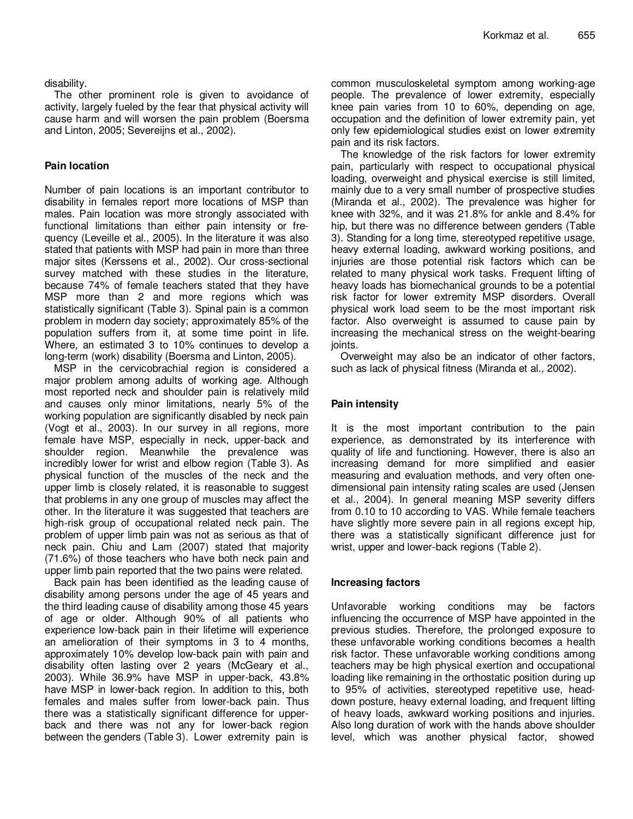### disability.

The other prominent role is given to avoidance of activity, largely fueled by the fear that physical activity will cause harm and will worsen the pain problem (Boersma and Linton, 2005; Severeijns et al., 2002).

# **Pain location**

Number of pain locations is an important contributor to disability in females report more locations of MSP than males. Pain location was more strongly associated with functional limitations than either pain intensity or frequency (Leveille et al., 2005). In the literature it was also stated that patients with MSP had pain in more than three major sites (Kerssens et al., 2002). Our cross-sectional survey matched with these studies in the literature, because 74% of female teachers stated that they have MSP more than 2 and more regions which was statistically significant (Table 3). Spinal pain is a common problem in modern day society; approximately 85% of the population suffers from it, at some time point in life. Where, an estimated 3 to 10% continues to develop a long-term (work) disability (Boersma and Linton, 2005).

MSP in the cervicobrachial region is considered a major problem among adults of working age. Although most reported neck and shoulder pain is relatively mild and causes only minor limitations, nearly 5% of the working population are significantly disabled by neck pain (Vogt et al., 2003). In our survey in all regions, more female have MSP, especially in neck, upper-back and shoulder region. Meanwhile the prevalence was incredibly lower for wrist and elbow region (Table 3). As physical function of the muscles of the neck and the upper limb is closely related, it is reasonable to suggest that problems in any one group of muscles may affect the other. In the literature it was suggested that teachers are high-risk group of occupational related neck pain. The problem of upper limb pain was not as serious as that of neck pain. Chiu and Lam (2007) stated that majority (71.6%) of those teachers who have both neck pain and upper limb pain reported that the two pains were related.

Back pain has been identified as the leading cause of disability among persons under the age of 45 years and the third leading cause of disability among those 45 years of age or older. Although 90% of all patients who experience low-back pain in their lifetime will experience an amelioration of their symptoms in 3 to 4 months, approximately 10% develop low-back pain with pain and disability often lasting over 2 years (McGeary et al., 2003). While 36.9% have MSP in upper-back, 43.8% have MSP in lower-back region. In addition to this, both females and males suffer from lower-back pain. Thus there was a statistically significant difference for upperback and there was not any for lower-back region between the genders (Table 3). Lower extremity pain is common musculoskeletal symptom among working-age people. The prevalence of lower extremity, especially knee pain varies from 10 to 60%, depending on age, occupation and the definition of lower extremity pain, yet only few epidemiological studies exist on lower extremity pain and its risk factors.

The knowledge of the risk factors for lower extremity pain, particularly with respect to occupational physical loading, overweight and physical exercise is still limited, mainly due to a very small number of prospective studies (Miranda et al., 2002). The prevalence was higher for knee with 32%, and it was 21.8% for ankle and 8.4% for hip, but there was no difference between genders (Table 3). Standing for a long time, stereotyped repetitive usage, heavy external loading, awkward working positions, and injuries are those potential risk factors which can be related to many physical work tasks. Frequent lifting of heavy loads has biomechanical grounds to be a potential risk factor for lower extremity MSP disorders. Overall physical work load seem to be the most important risk factor. Also overweight is assumed to cause pain by increasing the mechanical stress on the weight-bearing joints.

Overweight may also be an indicator of other factors, such as lack of physical fitness (Miranda et al., 2002).

# **Pain intensity**

It is the most important contribution to the pain experience, as demonstrated by its interference with quality of life and functioning. However, there is also an increasing demand for more simplified and easier measuring and evaluation methods, and very often onedimensional pain intensity rating scales are used (Jensen et al., 2004). In general meaning MSP severity differs from 0.10 to 10 according to VAS. While female teachers have slightly more severe pain in all regions except hip, there was a statistically significant difference just for wrist, upper and lower-back regions (Table 2).

# **Increasing factors**

Unfavorable working conditions may be factors influencing the occurrence of MSP have appointed in the previous studies. Therefore, the prolonged exposure to these unfavorable working conditions becomes a health risk factor. These unfavorable working conditions among teachers may be high physical exertion and occupational loading like remaining in the orthostatic position during up to 95% of activities, stereotyped repetitive use, headdown posture, heavy external loading, and frequent lifting of heavy loads, awkward working positions and injuries. Also long duration of work with the hands above shoulder level, which was another physical factor, showed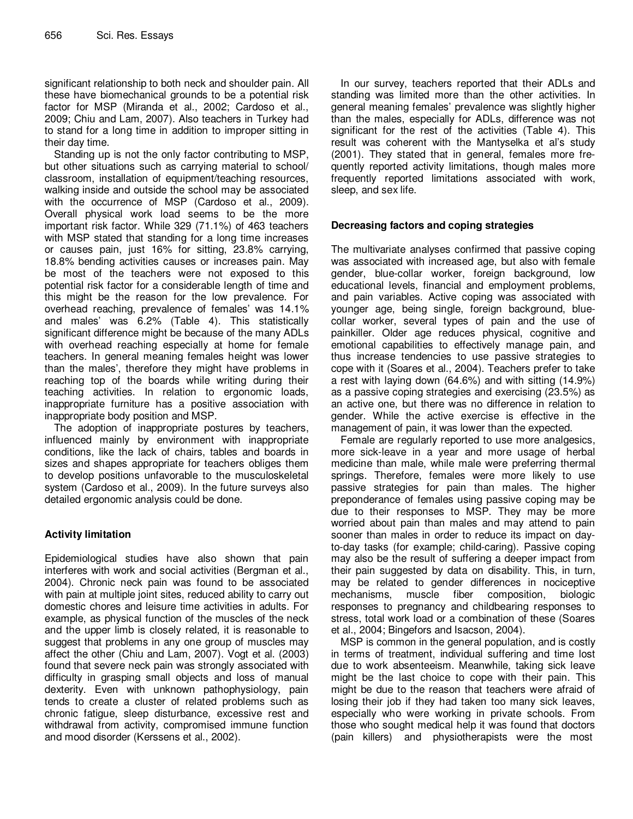significant relationship to both neck and shoulder pain. All these have biomechanical grounds to be a potential risk factor for MSP (Miranda et al., 2002; Cardoso et al., 2009; Chiu and Lam, 2007). Also teachers in Turkey had to stand for a long time in addition to improper sitting in their day time.

Standing up is not the only factor contributing to MSP, but other situations such as carrying material to school/ classroom, installation of equipment/teaching resources, walking inside and outside the school may be associated with the occurrence of MSP (Cardoso et al., 2009). Overall physical work load seems to be the more important risk factor. While 329 (71.1%) of 463 teachers with MSP stated that standing for a long time increases or causes pain, just 16% for sitting, 23.8% carrying, 18.8% bending activities causes or increases pain. May be most of the teachers were not exposed to this potential risk factor for a considerable length of time and this might be the reason for the low prevalence. For overhead reaching, prevalence of females' was 14.1% and males' was 6.2% (Table 4). This statistically significant difference might be because of the many ADLs with overhead reaching especially at home for female teachers. In general meaning females height was lower than the males', therefore they might have problems in reaching top of the boards while writing during their teaching activities. In relation to ergonomic loads, inappropriate furniture has a positive association with inappropriate body position and MSP.

The adoption of inappropriate postures by teachers, influenced mainly by environment with inappropriate conditions, like the lack of chairs, tables and boards in sizes and shapes appropriate for teachers obliges them to develop positions unfavorable to the musculoskeletal system (Cardoso et al., 2009). In the future surveys also detailed ergonomic analysis could be done.

# **Activity limitation**

Epidemiological studies have also shown that pain interferes with work and social activities (Bergman et al., 2004). Chronic neck pain was found to be associated with pain at multiple joint sites, reduced ability to carry out domestic chores and leisure time activities in adults. For example, as physical function of the muscles of the neck and the upper limb is closely related, it is reasonable to suggest that problems in any one group of muscles may affect the other (Chiu and Lam, 2007). Vogt et al. (2003) found that severe neck pain was strongly associated with difficulty in grasping small objects and loss of manual dexterity. Even with unknown pathophysiology, pain tends to create a cluster of related problems such as chronic fatigue, sleep disturbance, excessive rest and withdrawal from activity, compromised immune function and mood disorder (Kerssens et al., 2002).

In our survey, teachers reported that their ADLs and standing was limited more than the other activities. In general meaning females' prevalence was slightly higher than the males, especially for ADLs, difference was not significant for the rest of the activities (Table 4). This result was coherent with the Mantyselka et al's study (2001). They stated that in general, females more frequently reported activity limitations, though males more frequently reported limitations associated with work, sleep, and sex life.

# **Decreasing factors and coping strategies**

The multivariate analyses confirmed that passive coping was associated with increased age, but also with female gender, blue-collar worker, foreign background, low educational levels, financial and employment problems, and pain variables. Active coping was associated with younger age, being single, foreign background, bluecollar worker, several types of pain and the use of painkiller. Older age reduces physical, cognitive and emotional capabilities to effectively manage pain, and thus increase tendencies to use passive strategies to cope with it (Soares et al., 2004). Teachers prefer to take a rest with laying down (64.6%) and with sitting (14.9%) as a passive coping strategies and exercising (23.5%) as an active one, but there was no difference in relation to gender. While the active exercise is effective in the management of pain, it was lower than the expected.

Female are regularly reported to use more analgesics, more sick-leave in a year and more usage of herbal medicine than male, while male were preferring thermal springs. Therefore, females were more likely to use passive strategies for pain than males. The higher preponderance of females using passive coping may be due to their responses to MSP. They may be more worried about pain than males and may attend to pain sooner than males in order to reduce its impact on dayto-day tasks (for example; child-caring). Passive coping may also be the result of suffering a deeper impact from their pain suggested by data on disability. This, in turn, may be related to gender differences in nociceptive mechanisms, muscle fiber composition, biologic responses to pregnancy and childbearing responses to stress, total work load or a combination of these (Soares et al., 2004; Bingefors and Isacson, 2004).

MSP is common in the general population, and is costly in terms of treatment, individual suffering and time lost due to work absenteeism. Meanwhile, taking sick leave might be the last choice to cope with their pain. This might be due to the reason that teachers were afraid of losing their job if they had taken too many sick leaves, especially who were working in private schools. From those who sought medical help it was found that doctors (pain killers) and physiotherapists were the most